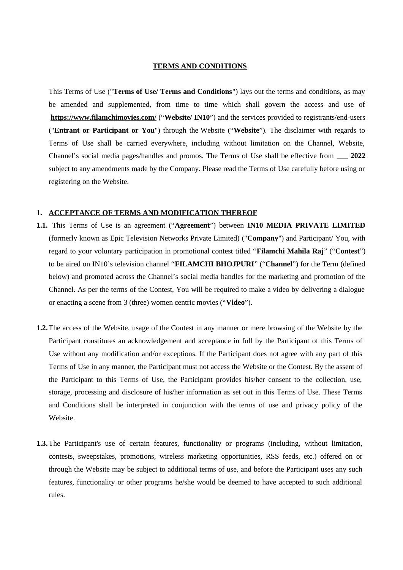#### **TERMS AND CONDITIONS**

This Terms of Use ("**Terms of Use/ Terms and Conditions**") lays out the terms and conditions, as may be amended and supplemented, from time to time which shall govern the access and use of **<https://www.filamchimovies.com/>** ("**Website/ IN10**") and the services provided to registrants/end-users ("**Entrant or Participant or You**") through the Website ("**Website**"). The disclaimer with regards to Terms of Use shall be carried everywhere, including without limitation on the Channel, Website, Channel's social media pages/handles and promos. The Terms of Use shall be effective from **\_\_\_ 2022** subject to any amendments made by the Company. Please read the Terms of Use carefully before using or registering on the Website.

#### **1. ACCEPTANCE OF TERMS AND MODIFICATION THEREOF**

- **1.1.** This Terms of Use is an agreement ("**Agreement**") between **IN10 MEDIA PRIVATE LIMITED** (formerly known as Epic Television Networks Private Limited) ("**Company**") and Participant/ You, with regard to your voluntary participation in promotional contest titled "**Filamchi Mahila Raj**" ("**Contest**") to be aired on IN10's television channel "**FILAMCHI BHOJPURI**" ("**Channel**") for the Term (defined below) and promoted across the Channel's social media handles for the marketing and promotion of the Channel. As per the terms of the Contest, You will be required to make a video by delivering a dialogue or enacting a scene from 3 (three) women centric movies ("**Video**").
- **1.2.**The access of the Website, usage of the Contest in any manner or mere browsing of the Website by the Participant constitutes an acknowledgement and acceptance in full by the Participant of this Terms of Use without any modification and/or exceptions. If the Participant does not agree with any part of this Terms of Use in any manner, the Participant must not access the Website or the Contest. By the assent of the Participant to this Terms of Use, the Participant provides his/her consent to the collection, use, storage, processing and disclosure of his/her information as set out in this Terms of Use. These Terms and Conditions shall be interpreted in conjunction with the terms of use and privacy policy of the Website.
- **1.3.**The Participant's use of certain features, functionality or programs (including, without limitation, contests, sweepstakes, promotions, wireless marketing opportunities, RSS feeds, etc.) offered on or through the Website may be subject to additional terms of use, and before the Participant uses any such features, functionality or other programs he/she would be deemed to have accepted to such additional rules.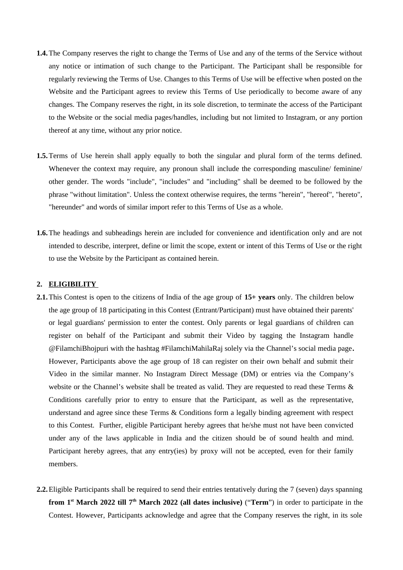- **1.4.**The Company reserves the right to change the Terms of Use and any of the terms of the Service without any notice or intimation of such change to the Participant. The Participant shall be responsible for regularly reviewing the Terms of Use. Changes to this Terms of Use will be effective when posted on the Website and the Participant agrees to review this Terms of Use periodically to become aware of any changes. The Company reserves the right, in its sole discretion, to terminate the access of the Participant to the Website or the social media pages/handles, including but not limited to Instagram, or any portion thereof at any time, without any prior notice.
- **1.5.**Terms of Use herein shall apply equally to both the singular and plural form of the terms defined. Whenever the context may require, any pronoun shall include the corresponding masculine/ feminine/ other gender. The words "include", "includes" and "including" shall be deemed to be followed by the phrase "without limitation". Unless the context otherwise requires, the terms "herein", "hereof", "hereto", "hereunder" and words of similar import refer to this Terms of Use as a whole.
- **1.6.**The headings and subheadings herein are included for convenience and identification only and are not intended to describe, interpret, define or limit the scope, extent or intent of this Terms of Use or the right to use the Website by the Participant as contained herein.

## **2. ELIGIBILITY**

- **2.1.**This Contest is open to the citizens of India of the age group of **15+ years** only. The children below the age group of 18 participating in this Contest (Entrant/Participant) must have obtained their parents' or legal guardians' permission to enter the contest. Only parents or legal guardians of children can register on behalf of the Participant and submit their Video by tagging the Instagram handle @FilamchiBhojpuri with the hashtag #FilamchiMahilaRaj solely via the Channel's social media page**.** However, Participants above the age group of 18 can register on their own behalf and submit their Video in the similar manner. No Instagram Direct Message (DM) or entries via the Company's website or the Channel's website shall be treated as valid. They are requested to read these Terms & Conditions carefully prior to entry to ensure that the Participant, as well as the representative, understand and agree since these Terms & Conditions form a legally binding agreement with respect to this Contest. Further, eligible Participant hereby agrees that he/she must not have been convicted under any of the laws applicable in India and the citizen should be of sound health and mind. Participant hereby agrees, that any entry(ies) by proxy will not be accepted, even for their family members.
- **2.2.**Eligible Participants shall be required to send their entries tentatively during the 7 (seven) days spanning **from 1st March 2022 till 7th March 2022 (all dates inclusive)** ("**Term**") in order to participate in the Contest. However, Participants acknowledge and agree that the Company reserves the right, in its sole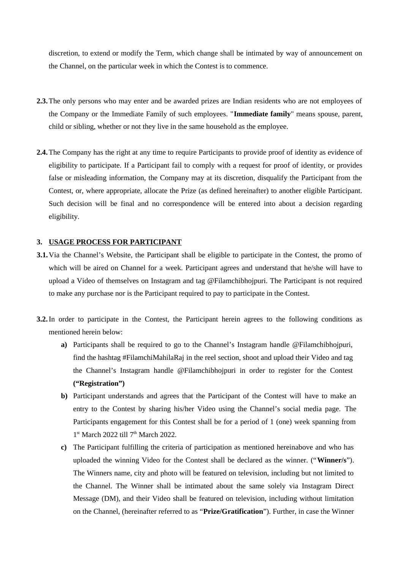discretion, to extend or modify the Term, which change shall be intimated by way of announcement on the Channel, on the particular week in which the Contest is to commence.

- **2.3.**The only persons who may enter and be awarded prizes are Indian residents who are not employees of the Company or the Immediate Family of such employees. "**Immediate family**" means spouse, parent, child or sibling, whether or not they live in the same household as the employee.
- **2.4.**The Company has the right at any time to require Participants to provide proof of identity as evidence of eligibility to participate. If a Participant fail to comply with a request for proof of identity, or provides false or misleading information, the Company may at its discretion, disqualify the Participant from the Contest, or, where appropriate, allocate the Prize (as defined hereinafter) to another eligible Participant. Such decision will be final and no correspondence will be entered into about a decision regarding eligibility.

## **3. USAGE PROCESS FOR PARTICIPANT**

- **3.1.**Via the Channel's Website, the Participant shall be eligible to participate in the Contest, the promo of which will be aired on Channel for a week. Participant agrees and understand that he/she will have to upload a Video of themselves on Instagram and tag @Filamchibhojpuri. The Participant is not required to make any purchase nor is the Participant required to pay to participate in the Contest.
- **3.2.**In order to participate in the Contest, the Participant herein agrees to the following conditions as mentioned herein below:
	- **a)** Participants shall be required to go to the Channel's Instagram handle @Filamchibhojpuri, find the hashtag #FilamchiMahilaRaj in the reel section, shoot and upload their Video and tag the Channel's Instagram handle @Filamchibhojpuri in order to register for the Contest **("Registration")**
	- **b)** Participant understands and agrees that the Participant of the Contest will have to make an entry to the Contest by sharing his/her Video using the Channel's social media page. The Participants engagement for this Contest shall be for a period of 1 (one) week spanning from  $1<sup>st</sup> March 2022$  till 7<sup>th</sup> March 2022.
	- **c)** The Participant fulfilling the criteria of participation as mentioned hereinabove and who has uploaded the winning Video for the Contest shall be declared as the winner. ("**Winner/s**"). The Winners name, city and photo will be featured on television, including but not limited to the Channel. The Winner shall be intimated about the same solely via Instagram Direct Message (DM), and their Video shall be featured on television, including without limitation on the Channel, (hereinafter referred to as "**Prize/Gratification**"). Further, in case the Winner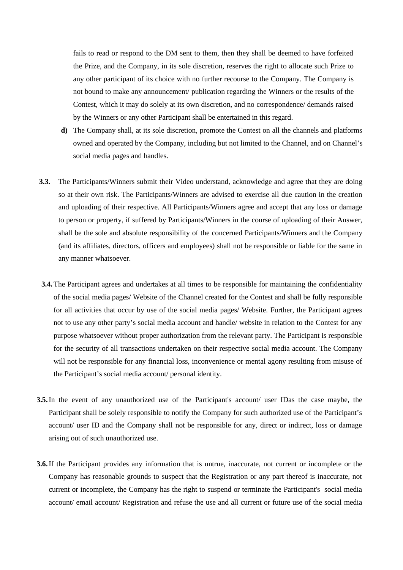fails to read or respond to the DM sent to them, then they shall be deemed to have forfeited the Prize, and the Company, in its sole discretion, reserves the right to allocate such Prize to any other participant of its choice with no further recourse to the Company. The Company is not bound to make any announcement/ publication regarding the Winners or the results of the Contest, which it may do solely at its own discretion, and no correspondence/ demands raised by the Winners or any other Participant shall be entertained in this regard.

- **d)** The Company shall, at its sole discretion, promote the Contest on all the channels and platforms owned and operated by the Company, including but not limited to the Channel, and on Channel's social media pages and handles.
- **3.3.** The Participants/Winners submit their Video understand, acknowledge and agree that they are doing so at their own risk. The Participants/Winners are advised to exercise all due caution in the creation and uploading of their respective. All Participants/Winners agree and accept that any loss or damage to person or property, if suffered by Participants/Winners in the course of uploading of their Answer, shall be the sole and absolute responsibility of the concerned Participants/Winners and the Company (and its affiliates, directors, officers and employees) shall not be responsible or liable for the same in any manner whatsoever.
- **3.4.**The Participant agrees and undertakes at all times to be responsible for maintaining the confidentiality of the social media pages/ Website of the Channel created for the Contest and shall be fully responsible for all activities that occur by use of the social media pages/ Website. Further, the Participant agrees not to use any other party's social media account and handle/ website in relation to the Contest for any purpose whatsoever without proper authorization from the relevant party. The Participant is responsible for the security of all transactions undertaken on their respective social media account. The Company will not be responsible for any financial loss, inconvenience or mental agony resulting from misuse of the Participant's social media account/ personal identity.
- **3.5.**In the event of any unauthorized use of the Participant's account/ user IDas the case maybe, the Participant shall be solely responsible to notify the Company for such authorized use of the Participant's account/ user ID and the Company shall not be responsible for any, direct or indirect, loss or damage arising out of such unauthorized use.
- **3.6.**If the Participant provides any information that is untrue, inaccurate, not current or incomplete or the Company has reasonable grounds to suspect that the Registration or any part thereof is inaccurate, not current or incomplete, the Company has the right to suspend or terminate the Participant's social media account/ email account/ Registration and refuse the use and all current or future use of the social media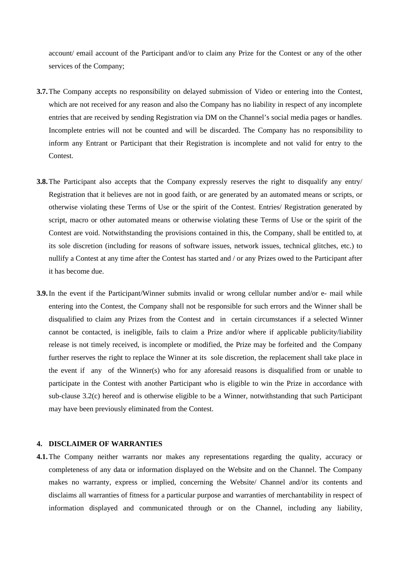account/ email account of the Participant and/or to claim any Prize for the Contest or any of the other services of the Company;

- **3.7.**The Company accepts no responsibility on delayed submission of Video or entering into the Contest, which are not received for any reason and also the Company has no liability in respect of any incomplete entries that are received by sending Registration via DM on the Channel's social media pages or handles. Incomplete entries will not be counted and will be discarded. The Company has no responsibility to inform any Entrant or Participant that their Registration is incomplete and not valid for entry to the Contest.
- **3.8.**The Participant also accepts that the Company expressly reserves the right to disqualify any entry/ Registration that it believes are not in good faith, or are generated by an automated means or scripts, or otherwise violating these Terms of Use or the spirit of the Contest. Entries/ Registration generated by script, macro or other automated means or otherwise violating these Terms of Use or the spirit of the Contest are void. Notwithstanding the provisions contained in this, the Company, shall be entitled to, at its sole discretion (including for reasons of software issues, network issues, technical glitches, etc.) to nullify a Contest at any time after the Contest has started and / or any Prizes owed to the Participant after it has become due.
- **3.9.**In the event if the Participant/Winner submits invalid or wrong cellular number and/or e- mail while entering into the Contest, the Company shall not be responsible for such errors and the Winner shall be disqualified to claim any Prizes from the Contest and in certain circumstances if a selected Winner cannot be contacted, is ineligible, fails to claim a Prize and/or where if applicable publicity/liability release is not timely received, is incomplete or modified, the Prize may be forfeited and the Company further reserves the right to replace the Winner at its sole discretion, the replacement shall take place in the event if any of the Winner(s) who for any aforesaid reasons is disqualified from or unable to participate in the Contest with another Participant who is eligible to win the Prize in accordance with sub-clause 3.2(c) hereof and is otherwise eligible to be a Winner, notwithstanding that such Participant may have been previously eliminated from the Contest.

#### **4. DISCLAIMER OF WARRANTIES**

**4.1.**The Company neither warrants nor makes any representations regarding the quality, accuracy or completeness of any data or information displayed on the Website and on the Channel. The Company makes no warranty, express or implied, concerning the Website/ Channel and/or its contents and disclaims all warranties of fitness for a particular purpose and warranties of merchantability in respect of information displayed and communicated through or on the Channel, including any liability,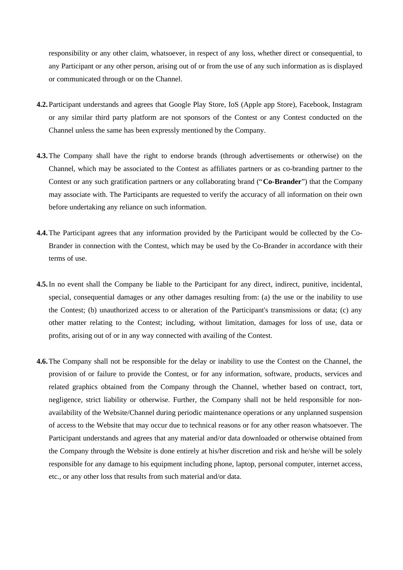responsibility or any other claim, whatsoever, in respect of any loss, whether direct or consequential, to any Participant or any other person, arising out of or from the use of any such information as is displayed or communicated through or on the Channel.

- **4.2.** Participant understands and agrees that Google Play Store, IoS (Apple app Store), Facebook, Instagram or any similar third party platform are not sponsors of the Contest or any Contest conducted on the Channel unless the same has been expressly mentioned by the Company.
- **4.3.**The Company shall have the right to endorse brands (through advertisements or otherwise) on the Channel, which may be associated to the Contest as affiliates partners or as co-branding partner to the Contest or any such gratification partners or any collaborating brand ("**Co-Brander**") that the Company may associate with. The Participants are requested to verify the accuracy of all information on their own before undertaking any reliance on such information.
- **4.4.**The Participant agrees that any information provided by the Participant would be collected by the Co-Brander in connection with the Contest, which may be used by the Co-Brander in accordance with their terms of use.
- **4.5.**In no event shall the Company be liable to the Participant for any direct, indirect, punitive, incidental, special, consequential damages or any other damages resulting from: (a) the use or the inability to use the Contest; (b) unauthorized access to or alteration of the Participant's transmissions or data; (c) any other matter relating to the Contest; including, without limitation, damages for loss of use, data or profits, arising out of or in any way connected with availing of the Contest.
- **4.6.**The Company shall not be responsible for the delay or inability to use the Contest on the Channel, the provision of or failure to provide the Contest, or for any information, software, products, services and related graphics obtained from the Company through the Channel, whether based on contract, tort, negligence, strict liability or otherwise. Further, the Company shall not be held responsible for nonavailability of the Website/Channel during periodic maintenance operations or any unplanned suspension of access to the Website that may occur due to technical reasons or for any other reason whatsoever. The Participant understands and agrees that any material and/or data downloaded or otherwise obtained from the Company through the Website is done entirely at his/her discretion and risk and he/she will be solely responsible for any damage to his equipment including phone, laptop, personal computer, internet access, etc., or any other loss that results from such material and/or data.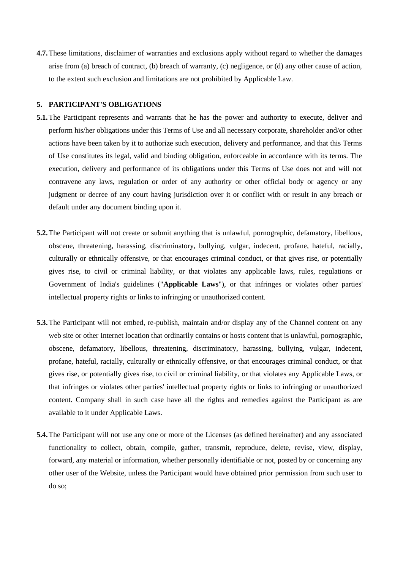**4.7.**These limitations, disclaimer of warranties and exclusions apply without regard to whether the damages arise from (a) breach of contract, (b) breach of warranty, (c) negligence, or (d) any other cause of action, to the extent such exclusion and limitations are not prohibited by Applicable Law.

#### **5. PARTICIPANT'S OBLIGATIONS**

- **5.1.**The Participant represents and warrants that he has the power and authority to execute, deliver and perform his/her obligations under this Terms of Use and all necessary corporate, shareholder and/or other actions have been taken by it to authorize such execution, delivery and performance, and that this Terms of Use constitutes its legal, valid and binding obligation, enforceable in accordance with its terms. The execution, delivery and performance of its obligations under this Terms of Use does not and will not contravene any laws, regulation or order of any authority or other official body or agency or any judgment or decree of any court having jurisdiction over it or conflict with or result in any breach or default under any document binding upon it.
- **5.2.**The Participant will not create or submit anything that is unlawful, pornographic, defamatory, libellous, obscene, threatening, harassing, discriminatory, bullying, vulgar, indecent, profane, hateful, racially, culturally or ethnically offensive, or that encourages criminal conduct, or that gives rise, or potentially gives rise, to civil or criminal liability, or that violates any applicable laws, rules, regulations or Government of India's guidelines ("**Applicable Laws**"), or that infringes or violates other parties' intellectual property rights or links to infringing or unauthorized content.
- **5.3.**The Participant will not embed, re-publish, maintain and/or display any of the Channel content on any web site or other Internet location that ordinarily contains or hosts content that is unlawful, pornographic, obscene, defamatory, libellous, threatening, discriminatory, harassing, bullying, vulgar, indecent, profane, hateful, racially, culturally or ethnically offensive, or that encourages criminal conduct, or that gives rise, or potentially gives rise, to civil or criminal liability, or that violates any Applicable Laws, or that infringes or violates other parties' intellectual property rights or links to infringing or unauthorized content. Company shall in such case have all the rights and remedies against the Participant as are available to it under Applicable Laws.
- **5.4.**The Participant will not use any one or more of the Licenses (as defined hereinafter) and any associated functionality to collect, obtain, compile, gather, transmit, reproduce, delete, revise, view, display, forward, any material or information, whether personally identifiable or not, posted by or concerning any other user of the Website, unless the Participant would have obtained prior permission from such user to do so;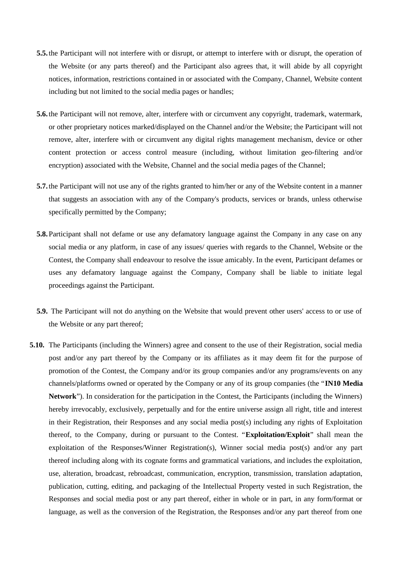- **5.5.** the Participant will not interfere with or disrupt, or attempt to interfere with or disrupt, the operation of the Website (or any parts thereof) and the Participant also agrees that, it will abide by all copyright notices, information, restrictions contained in or associated with the Company, Channel, Website content including but not limited to the social media pages or handles;
- **5.6.** the Participant will not remove, alter, interfere with or circumvent any copyright, trademark, watermark, or other proprietary notices marked/displayed on the Channel and/or the Website; the Participant will not remove, alter, interfere with or circumvent any digital rights management mechanism, device or other content protection or access control measure (including, without limitation geo-filtering and/or encryption) associated with the Website, Channel and the social media pages of the Channel;
- **5.7.** the Participant will not use any of the rights granted to him/her or any of the Website content in a manner that suggests an association with any of the Company's products, services or brands, unless otherwise specifically permitted by the Company;
- **5.8.** Participant shall not defame or use any defamatory language against the Company in any case on any social media or any platform, in case of any issues/ queries with regards to the Channel, Website or the Contest, the Company shall endeavour to resolve the issue amicably. In the event, Participant defames or uses any defamatory language against the Company, Company shall be liable to initiate legal proceedings against the Participant.
- **5.9.** The Participant will not do anything on the Website that would prevent other users' access to or use of the Website or any part thereof;
- **5.10.** The Participants (including the Winners) agree and consent to the use of their Registration, social media post and/or any part thereof by the Company or its affiliates as it may deem fit for the purpose of promotion of the Contest, the Company and/or its group companies and/or any programs/events on any channels/platforms owned or operated by the Company or any of its group companies (the "**IN10 Media Network**"). In consideration for the participation in the Contest, the Participants (including the Winners) hereby irrevocably, exclusively, perpetually and for the entire universe assign all right, title and interest in their Registration, their Responses and any social media post(s) including any rights of Exploitation thereof, to the Company, during or pursuant to the Contest. "**Exploitation/Exploit**" shall mean the exploitation of the Responses/Winner Registration(s), Winner social media post(s) and/or any part thereof including along with its cognate forms and grammatical variations, and includes the exploitation, use, alteration, broadcast, rebroadcast, communication, encryption, transmission, translation adaptation, publication, cutting, editing, and packaging of the Intellectual Property vested in such Registration, the Responses and social media post or any part thereof, either in whole or in part, in any form/format or language, as well as the conversion of the Registration, the Responses and/or any part thereof from one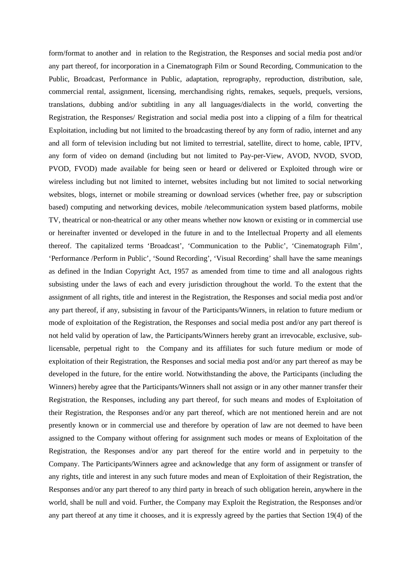form/format to another and in relation to the Registration, the Responses and social media post and/or any part thereof, for incorporation in a Cinematograph Film or Sound Recording, Communication to the Public, Broadcast, Performance in Public, adaptation, reprography, reproduction, distribution, sale, commercial rental, assignment, licensing, merchandising rights, remakes, sequels, prequels, versions, translations, dubbing and/or subtitling in any all languages/dialects in the world, converting the Registration, the Responses/ Registration and social media post into a clipping of a film for theatrical Exploitation, including but not limited to the broadcasting thereof by any form of radio, internet and any and all form of television including but not limited to terrestrial, satellite, direct to home, cable, IPTV, any form of video on demand (including but not limited to Pay-per-View, AVOD, NVOD, SVOD, PVOD, FVOD) made available for being seen or heard or delivered or Exploited through wire or wireless including but not limited to internet, websites including but not limited to social networking websites, blogs, internet or mobile streaming or download services (whether free, pay or subscription based) computing and networking devices, mobile /telecommunication system based platforms, mobile TV, theatrical or non-theatrical or any other means whether now known or existing or in commercial use or hereinafter invented or developed in the future in and to the Intellectual Property and all elements thereof. The capitalized terms 'Broadcast', 'Communication to the Public', 'Cinematograph Film', 'Performance /Perform in Public', 'Sound Recording', 'Visual Recording' shall have the same meanings as defined in the Indian Copyright Act, 1957 as amended from time to time and all analogous rights subsisting under the laws of each and every jurisdiction throughout the world. To the extent that the assignment of all rights, title and interest in the Registration, the Responses and social media post and/or any part thereof, if any, subsisting in favour of the Participants/Winners, in relation to future medium or mode of exploitation of the Registration, the Responses and social media post and/or any part thereof is not held valid by operation of law, the Participants/Winners hereby grant an irrevocable, exclusive, sublicensable, perpetual right to the Company and its affiliates for such future medium or mode of exploitation of their Registration, the Responses and social media post and/or any part thereof as may be developed in the future, for the entire world. Notwithstanding the above, the Participants (including the Winners) hereby agree that the Participants/Winners shall not assign or in any other manner transfer their Registration, the Responses, including any part thereof, for such means and modes of Exploitation of their Registration, the Responses and/or any part thereof, which are not mentioned herein and are not presently known or in commercial use and therefore by operation of law are not deemed to have been assigned to the Company without offering for assignment such modes or means of Exploitation of the Registration, the Responses and/or any part thereof for the entire world and in perpetuity to the Company. The Participants/Winners agree and acknowledge that any form of assignment or transfer of any rights, title and interest in any such future modes and mean of Exploitation of their Registration, the Responses and/or any part thereof to any third party in breach of such obligation herein, anywhere in the world, shall be null and void. Further, the Company may Exploit the Registration, the Responses and/or any part thereof at any time it chooses, and it is expressly agreed by the parties that Section 19(4) of the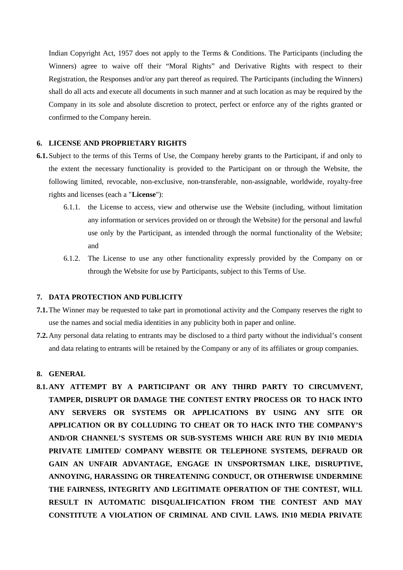Indian Copyright Act, 1957 does not apply to the Terms & Conditions. The Participants (including the Winners) agree to waive off their "Moral Rights" and Derivative Rights with respect to their Registration, the Responses and/or any part thereof as required. The Participants (including the Winners) shall do all acts and execute all documents in such manner and at such location as may be required by the Company in its sole and absolute discretion to protect, perfect or enforce any of the rights granted or confirmed to the Company herein.

### **6. LICENSE AND PROPRIETARY RIGHTS**

- **6.1.** Subject to the terms of this Terms of Use, the Company hereby grants to the Participant, if and only to the extent the necessary functionality is provided to the Participant on or through the Website, the following limited, revocable, non-exclusive, non-transferable, non-assignable, worldwide, royalty-free rights and licenses (each a "**License**"):
	- 6.1.1. the License to access, view and otherwise use the Website (including, without limitation any information or services provided on or through the Website) for the personal and lawful use only by the Participant, as intended through the normal functionality of the Website; and
	- 6.1.2. The License to use any other functionality expressly provided by the Company on or through the Website for use by Participants, subject to this Terms of Use.

### **7. DATA PROTECTION AND PUBLICITY**

- **7.1.**The Winner may be requested to take part in promotional activity and the Company reserves the right to use the names and social media identities in any publicity both in paper and online.
- **7.2.**Any personal data relating to entrants may be disclosed to a third party without the individual's consent and data relating to entrants will be retained by the Company or any of its affiliates or group companies.

### **8. GENERAL**

**8.1.ANY ATTEMPT BY A PARTICIPANT OR ANY THIRD PARTY TO CIRCUMVENT, TAMPER, DISRUPT OR DAMAGE THE CONTEST ENTRY PROCESS OR TO HACK INTO ANY SERVERS OR SYSTEMS OR APPLICATIONS BY USING ANY SITE OR APPLICATION OR BY COLLUDING TO CHEAT OR TO HACK INTO THE COMPANY'S AND/OR CHANNEL'S SYSTEMS OR SUB-SYSTEMS WHICH ARE RUN BY IN10 MEDIA PRIVATE LIMITED/ COMPANY WEBSITE OR TELEPHONE SYSTEMS, DEFRAUD OR GAIN AN UNFAIR ADVANTAGE, ENGAGE IN UNSPORTSMAN LIKE, DISRUPTIVE, ANNOYING, HARASSING OR THREATENING CONDUCT, OR OTHERWISE UNDERMINE THE FAIRNESS, INTEGRITY AND LEGITIMATE OPERATION OF THE CONTEST, WILL RESULT IN AUTOMATIC DISQUALIFICATION FROM THE CONTEST AND MAY CONSTITUTE A VIOLATION OF CRIMINAL AND CIVIL LAWS. IN10 MEDIA PRIVATE**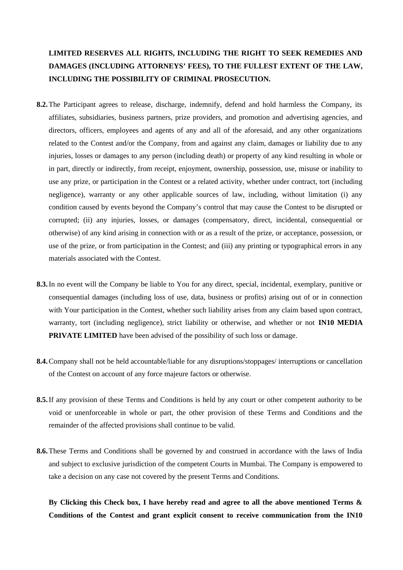# **LIMITED RESERVES ALL RIGHTS, INCLUDING THE RIGHT TO SEEK REMEDIES AND DAMAGES (INCLUDING ATTORNEYS' FEES), TO THE FULLEST EXTENT OF THE LAW, INCLUDING THE POSSIBILITY OF CRIMINAL PROSECUTION.**

- **8.2.**The Participant agrees to release, discharge, indemnify, defend and hold harmless the Company, its affiliates, subsidiaries, business partners, prize providers, and promotion and advertising agencies, and directors, officers, employees and agents of any and all of the aforesaid, and any other organizations related to the Contest and/or the Company, from and against any claim, damages or liability due to any injuries, losses or damages to any person (including death) or property of any kind resulting in whole or in part, directly or indirectly, from receipt, enjoyment, ownership, possession, use, misuse or inability to use any prize, or participation in the Contest or a related activity, whether under contract, tort (including negligence), warranty or any other applicable sources of law, including, without limitation (i) any condition caused by events beyond the Company's control that may cause the Contest to be disrupted or corrupted; (ii) any injuries, losses, or damages (compensatory, direct, incidental, consequential or otherwise) of any kind arising in connection with or as a result of the prize, or acceptance, possession, or use of the prize, or from participation in the Contest; and (iii) any printing or typographical errors in any materials associated with the Contest.
- **8.3.**In no event will the Company be liable to You for any direct, special, incidental, exemplary, punitive or consequential damages (including loss of use, data, business or profits) arising out of or in connection with Your participation in the Contest, whether such liability arises from any claim based upon contract, warranty, tort (including negligence), strict liability or otherwise, and whether or not **IN10 MEDIA PRIVATE LIMITED** have been advised of the possibility of such loss or damage.
- **8.4.**Company shall not be held accountable/liable for any disruptions/stoppages/ interruptions or cancellation of the Contest on account of any force majeure factors or otherwise.
- **8.5.**If any provision of these Terms and Conditions is held by any court or other competent authority to be void or unenforceable in whole or part, the other provision of these Terms and Conditions and the remainder of the affected provisions shall continue to be valid.
- **8.6.**These Terms and Conditions shall be governed by and construed in accordance with the laws of India and subject to exclusive jurisdiction of the competent Courts in Mumbai. The Company is empowered to take a decision on any case not covered by the present Terms and Conditions.

**By Clicking this Check box, I have hereby read and agree to all the above mentioned Terms & Conditions of the Contest and grant explicit consent to receive communication from the IN10**